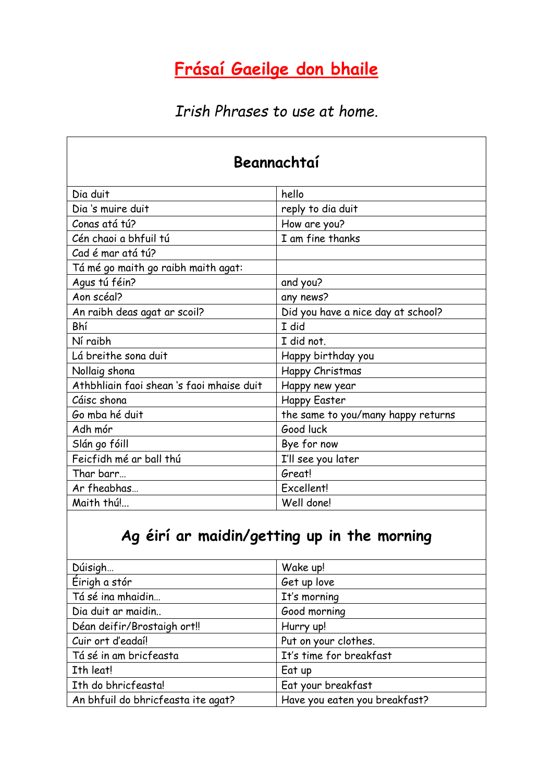## **Frásaí Gaeilge don bhaile**

#### *Irish Phrases to use at home.*

| Beannachtaí                              |                                    |
|------------------------------------------|------------------------------------|
| Dia duit                                 | hello                              |
| Dia 's muire duit                        | reply to dia duit                  |
| Conas atá tú?                            | How are you?                       |
| Cén chaoi a bhfuil tú                    | I am fine thanks                   |
| Cad é mar atá tú?                        |                                    |
| Tá mé go maith go raibh maith agat:      |                                    |
| Agus tú féin?                            | and you?                           |
| Aon scéal?                               | any news?                          |
| An raibh deas agat ar scoil?             | Did you have a nice day at school? |
| Bhí                                      | I did                              |
| Ní raibh                                 | I did not.                         |
| Lá breithe sona duit                     | Happy birthday you                 |
| Nollaig shona                            | Happy Christmas                    |
| Athbhliain faoi shean's faoi mhaise duit | Happy new year                     |
| Cáisc shona                              | <b>Happy Easter</b>                |
| Go mba hé duit                           | the same to you/many happy returns |
| Adh mór                                  | Good luck                          |
| Slán go fóill                            | Bye for now                        |
| Feicfidh mé ar ball thú                  | I'll see you later                 |
| Thar barr                                | Great!                             |
| Ar fheabhas                              | Excellent!                         |
| Maith thú!                               | Well done!                         |

## **Ag éirí ar maidin/getting up in the morning**

| Dúisigh                            | Wake up!                      |
|------------------------------------|-------------------------------|
| Éirigh a stór                      | Get up love                   |
| Tá sé ina mhaidin                  | It's morning                  |
| Dia duit ar maidin                 | Good morning                  |
| Déan deifir/Brostaigh ort!!        | Hurry up!                     |
| Cuir ort d'eadaí!                  | Put on your clothes.          |
| Tá sé in am bricfeasta             | It's time for breakfast       |
| Ith leat!                          | Eat up                        |
| Ith do bhricfeasta!                | Eat your breakfast            |
| An bhfuil do bhricfeasta ite agat? | Have you eaten you breakfast? |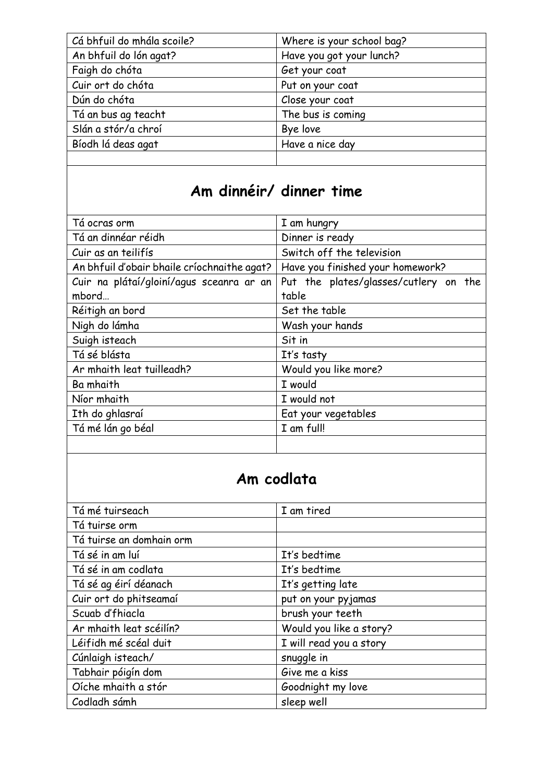| Cá bhfuil do mhála scoile? | Where is your school bag? |
|----------------------------|---------------------------|
| An bhfuil do lón agat?     | Have you got your lunch?  |
| Faigh do chóta             | Get your coat             |
| Cuir ort do chóta          | Put on your coat          |
| Dún do chóta               | Close your coat           |
| Tá an bus ag teacht        | The bus is coming         |
| Slán a stór/a chroí        | Bye love                  |
| Bíodh lá deas agat         | Have a nice day           |
|                            |                           |

### **Am dinnéir/ dinner time**

| Tá ocras orm                                | I am hungry                           |
|---------------------------------------------|---------------------------------------|
| Tá an dinnéar réidh                         | Dinner is ready                       |
| Cuir as an teilifís                         | Switch off the television             |
| An bhfuil d'obair bhaile críochnaithe agat? | Have you finished your homework?      |
| Cuir na plátaí/gloiní/agus sceanra ar an    | Put the plates/glasses/cutlery on the |
| mbord                                       | table                                 |
| Réitigh an bord                             | Set the table                         |
| Nigh do lámha                               | Wash your hands                       |
| Suigh isteach                               | Sit in                                |
| Tá sé blásta                                | It's tasty                            |
| Ar mhaith leat tuilleadh?                   | Would you like more?                  |
| Ba mhaith                                   | I would                               |
| Níor mhaith                                 | I would not                           |
| Ith do ghlasraí                             | Eat your vegetables                   |
| Tá mé lán go béal                           | I am full!                            |
|                                             |                                       |

### **Am codlata**

| Tá mé tuirseach          | I am tired              |
|--------------------------|-------------------------|
| Tá tuirse orm            |                         |
| Tá tuirse an domhain orm |                         |
| Tá sé in am luí          | It's bedtime            |
| Tá sé in am codlata      | It's bedtime            |
| Tá sé ag éirí déanach    | It's getting late       |
| Cuir ort do phitseamaí   | put on your pyjamas     |
| Scuab d'fhiacla          | brush your teeth        |
| Ar mhaith leat scéilín?  | Would you like a story? |
| Léifidh mé scéal duit    | I will read you a story |
| Cúnlaigh isteach/        | snuggle in              |
| Tabhair póigín dom       | Give me a kiss          |
| Oíche mhaith a stór      | Goodnight my love       |
| Codladh sámh             | sleep well              |